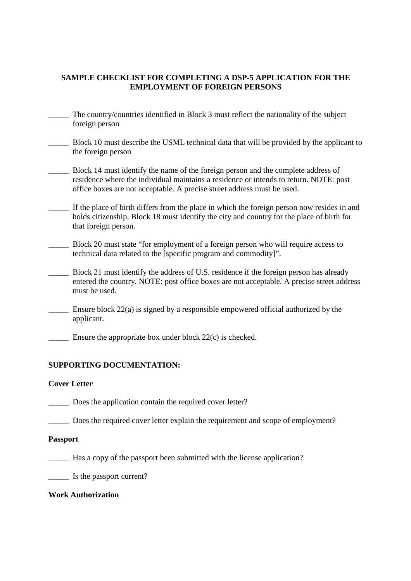# **SAMPLE CHECKLIST FOR COMPLETING A DSP-5 APPLICATION FOR THE EMPLOYMENT OF FOREIGN PERSONS**

- The country/countries identified in Block 3 must reflect the nationality of the subject foreign person
- \_\_\_\_\_ Block 10 must describe the USML technical data that will be provided by the applicant to the foreign person
- Block 14 must identify the name of the foreign person and the complete address of residence where the individual maintains a residence or intends to return. NOTE: post office boxes are not acceptable. A precise street address must be used.
- If the place of birth differs from the place in which the foreign person now resides in and holds citizenship, Block 18 must identify the city and country for the place of birth for that foreign person.
- \_\_\_\_\_ Block 20 must state "for employment of a foreign person who will require access to technical data related to the [specific program and commodity]".
- Block 21 must identify the address of U.S. residence if the foreign person has already entered the country. NOTE: post office boxes are not acceptable. A precise street address must be used.
- Ensure block  $22(a)$  is signed by a responsible empowered official authorized by the applicant.
- Ensure the appropriate box under block  $22(c)$  is checked.

### **SUPPORTING DOCUMENTATION:**

### **Cover Letter**

- \_\_\_\_\_ Does the application contain the required cover letter?
- \_\_\_\_\_ Does the required cover letter explain the requirement and scope of employment?

### **Passport**

- \_\_\_\_\_ Has a copy of the passport been submitted with the license application?
- \_\_\_\_\_ Is the passport current?

# **Work Authorization**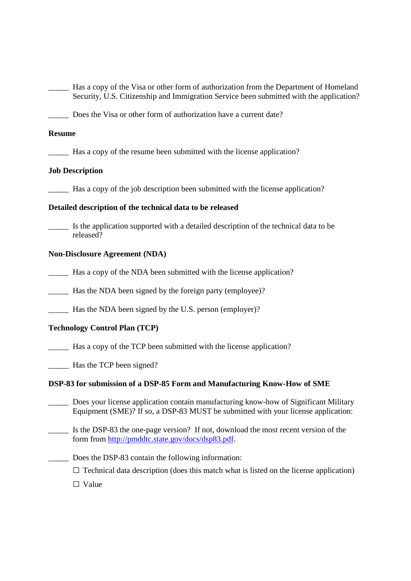| Security, U.S. Citizenship and Immigration Service been submitted with the application?                                                                                   |
|---------------------------------------------------------------------------------------------------------------------------------------------------------------------------|
| Does the Visa or other form of authorization have a current date?                                                                                                         |
| <b>Resume</b>                                                                                                                                                             |
|                                                                                                                                                                           |
| <b>Job Description</b>                                                                                                                                                    |
| Has a copy of the job description been submitted with the license application?                                                                                            |
| Detailed description of the technical data to be released                                                                                                                 |
| Is the application supported with a detailed description of the technical data to be<br>released?                                                                         |
| <b>Non-Disclosure Agreement (NDA)</b>                                                                                                                                     |
| Has a copy of the NDA been submitted with the license application?                                                                                                        |
|                                                                                                                                                                           |
|                                                                                                                                                                           |
| <b>Technology Control Plan (TCP)</b>                                                                                                                                      |
| Has a copy of the TCP been submitted with the license application?                                                                                                        |
|                                                                                                                                                                           |
| DSP-83 for submission of a DSP-85 Form and Manufacturing Know-How of SME                                                                                                  |
| Does your license application contain manufacturing know-how of Significant Military<br>Equipment (SME)? If so, a DSP-83 MUST be submitted with your license application: |
| Is the DSP-83 the one-page version? If not, download the most recent version of the<br>form from http://pmddtc.state.gov/docs/dsp83.pdf.                                  |
| Does the DSP-83 contain the following information:                                                                                                                        |
| $\Box$ Technical data description (does this match what is listed on the license application)                                                                             |

□ Value

\_\_\_\_\_ Has a copy of the Visa or other form of authorization from the Department of Homeland